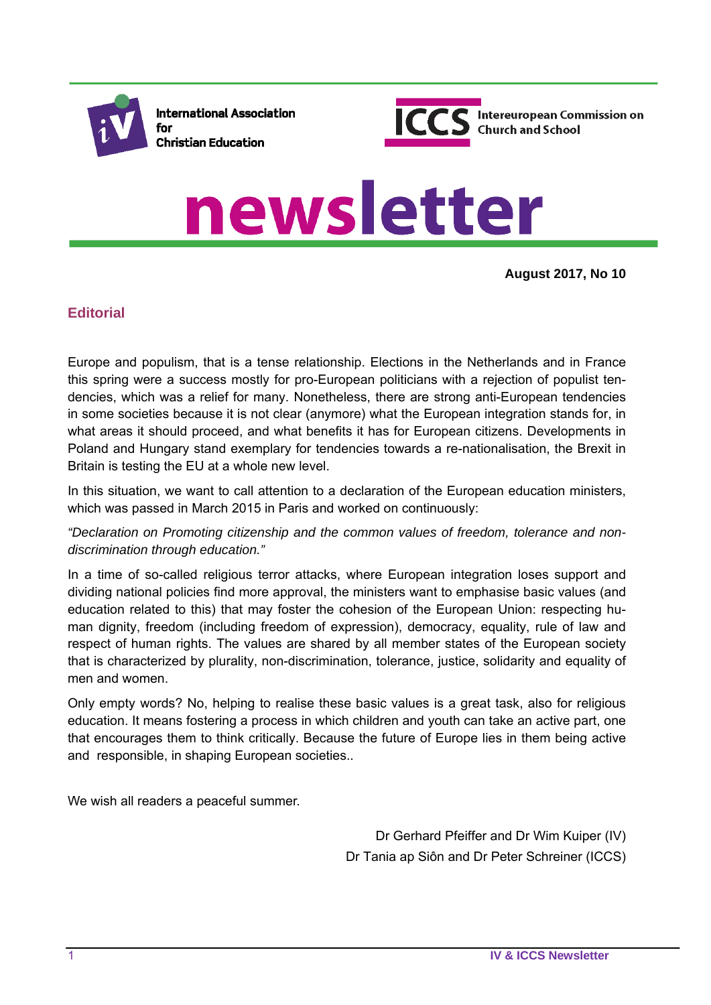

**International Association** for **Christian Education** 



# newsletter

**August 2017, No 10**

## **Editorial**

Europe and populism, that is a tense relationship. Elections in the Netherlands and in France this spring were a success mostly for pro-European politicians with a rejection of populist tendencies, which was a relief for many. Nonetheless, there are strong anti-European tendencies in some societies because it is not clear (anymore) what the European integration stands for, in what areas it should proceed, and what benefits it has for European citizens. Developments in Poland and Hungary stand exemplary for tendencies towards a re-nationalisation, the Brexit in Britain is testing the EU at a whole new level.

In this situation, we want to call attention to a declaration of the European education ministers, which was passed in March 2015 in Paris and worked on continuously:

*"Declaration on Promoting citizenship and the common values of freedom, tolerance and nondiscrimination through education."* 

In a time of so-called religious terror attacks, where European integration loses support and dividing national policies find more approval, the ministers want to emphasise basic values (and education related to this) that may foster the cohesion of the European Union: respecting human dignity, freedom (including freedom of expression), democracy, equality, rule of law and respect of human rights. The values are shared by all member states of the European society that is characterized by plurality, non-discrimination, tolerance, justice, solidarity and equality of men and women.

Only empty words? No, helping to realise these basic values is a great task, also for religious education. It means fostering a process in which children and youth can take an active part, one that encourages them to think critically. Because the future of Europe lies in them being active and responsible, in shaping European societies..

We wish all readers a peaceful summer.

Dr Gerhard Pfeiffer and Dr Wim Kuiper (IV) Dr Tania ap Siôn and Dr Peter Schreiner (ICCS)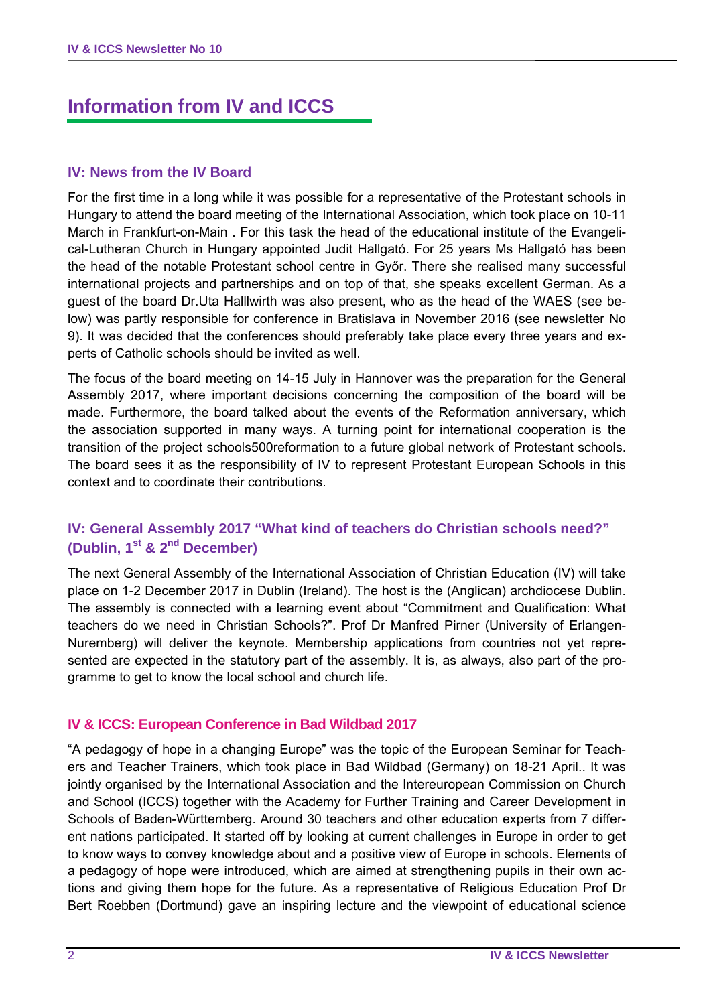# **Information from IV and ICCS**

## **IV: News from the IV Board**

For the first time in a long while it was possible for a representative of the Protestant schools in Hungary to attend the board meeting of the International Association, which took place on 10-11 March in Frankfurt-on-Main . For this task the head of the educational institute of the Evangelical-Lutheran Church in Hungary appointed Judit Hallgató. For 25 years Ms Hallgató has been the head of the notable Protestant school centre in Győr. There she realised many successful international projects and partnerships and on top of that, she speaks excellent German. As a guest of the board Dr.Uta Halllwirth was also present, who as the head of the WAES (see below) was partly responsible for conference in Bratislava in November 2016 (see newsletter No 9). It was decided that the conferences should preferably take place every three years and experts of Catholic schools should be invited as well.

The focus of the board meeting on 14-15 July in Hannover was the preparation for the General Assembly 2017, where important decisions concerning the composition of the board will be made. Furthermore, the board talked about the events of the Reformation anniversary, which the association supported in many ways. A turning point for international cooperation is the transition of the project schools500reformation to a future global network of Protestant schools. The board sees it as the responsibility of IV to represent Protestant European Schools in this context and to coordinate their contributions.

## **IV: General Assembly 2017 "What kind of teachers do Christian schools need?" (Dublin, 1st & 2nd December)**

The next General Assembly of the International Association of Christian Education (IV) will take place on 1-2 December 2017 in Dublin (Ireland). The host is the (Anglican) archdiocese Dublin. The assembly is connected with a learning event about "Commitment and Qualification: What teachers do we need in Christian Schools?". Prof Dr Manfred Pirner (University of Erlangen-Nuremberg) will deliver the keynote. Membership applications from countries not yet represented are expected in the statutory part of the assembly. It is, as always, also part of the programme to get to know the local school and church life.

#### **IV & ICCS: European Conference in Bad Wildbad 2017**

"A pedagogy of hope in a changing Europe" was the topic of the European Seminar for Teachers and Teacher Trainers, which took place in Bad Wildbad (Germany) on 18-21 April.. It was jointly organised by the International Association and the Intereuropean Commission on Church and School (ICCS) together with the Academy for Further Training and Career Development in Schools of Baden-Württemberg. Around 30 teachers and other education experts from 7 different nations participated. It started off by looking at current challenges in Europe in order to get to know ways to convey knowledge about and a positive view of Europe in schools. Elements of a pedagogy of hope were introduced, which are aimed at strengthening pupils in their own actions and giving them hope for the future. As a representative of Religious Education Prof Dr Bert Roebben (Dortmund) gave an inspiring lecture and the viewpoint of educational science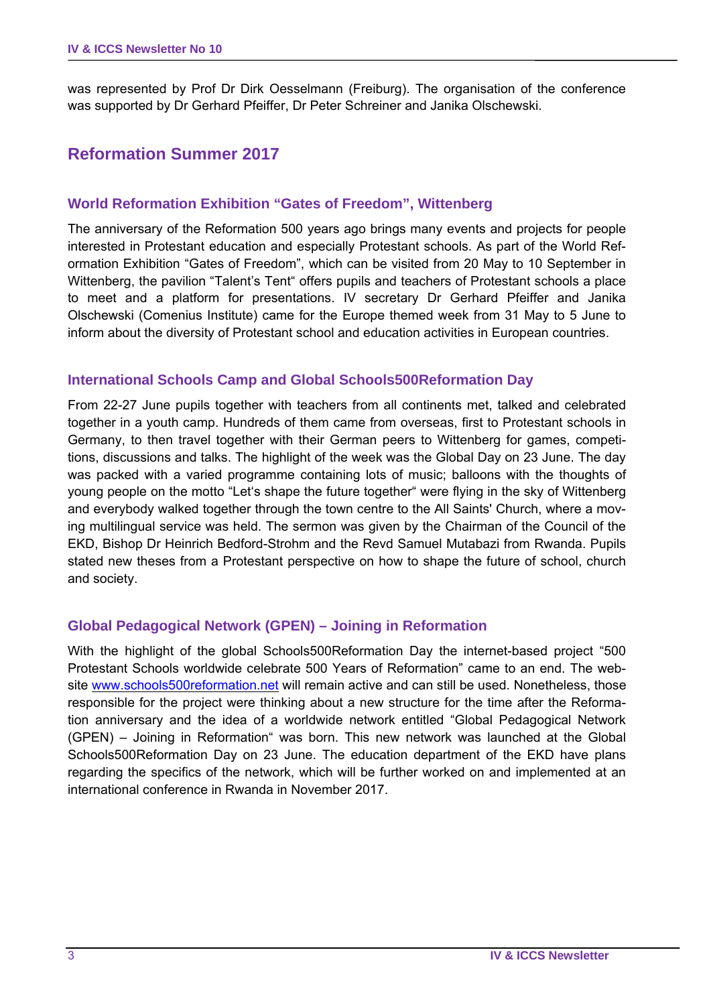was represented by Prof Dr Dirk Oesselmann (Freiburg). The organisation of the conference was supported by Dr Gerhard Pfeiffer, Dr Peter Schreiner and Janika Olschewski.

# **Reformation Summer 2017**

## **World Reformation Exhibition "Gates of Freedom", Wittenberg**

The anniversary of the Reformation 500 years ago brings many events and projects for people interested in Protestant education and especially Protestant schools. As part of the World Reformation Exhibition "Gates of Freedom", which can be visited from 20 May to 10 September in Wittenberg, the pavilion "Talent's Tent" offers pupils and teachers of Protestant schools a place to meet and a platform for presentations. IV secretary Dr Gerhard Pfeiffer and Janika Olschewski (Comenius Institute) came for the Europe themed week from 31 May to 5 June to inform about the diversity of Protestant school and education activities in European countries.

#### **International Schools Camp and Global Schools500Reformation Day**

From 22-27 June pupils together with teachers from all continents met, talked and celebrated together in a youth camp. Hundreds of them came from overseas, first to Protestant schools in Germany, to then travel together with their German peers to Wittenberg for games, competitions, discussions and talks. The highlight of the week was the Global Day on 23 June. The day was packed with a varied programme containing lots of music; balloons with the thoughts of young people on the motto "Let's shape the future together" were flying in the sky of Wittenberg and everybody walked together through the town centre to the All Saints' Church, where a moving multilingual service was held. The sermon was given by the Chairman of the Council of the EKD, Bishop Dr Heinrich Bedford-Strohm and the Revd Samuel Mutabazi from Rwanda. Pupils stated new theses from a Protestant perspective on how to shape the future of school, church and society.

#### **Global Pedagogical Network (GPEN) – Joining in Reformation**

With the highlight of the global Schools500Reformation Day the internet-based project "500 Protestant Schools worldwide celebrate 500 Years of Reformation" came to an end. The website www.schools500reformation.net will remain active and can still be used. Nonetheless, those responsible for the project were thinking about a new structure for the time after the Reformation anniversary and the idea of a worldwide network entitled "Global Pedagogical Network (GPEN) – Joining in Reformation" was born. This new network was launched at the Global Schools500Reformation Day on 23 June. The education department of the EKD have plans regarding the specifics of the network, which will be further worked on and implemented at an international conference in Rwanda in November 2017.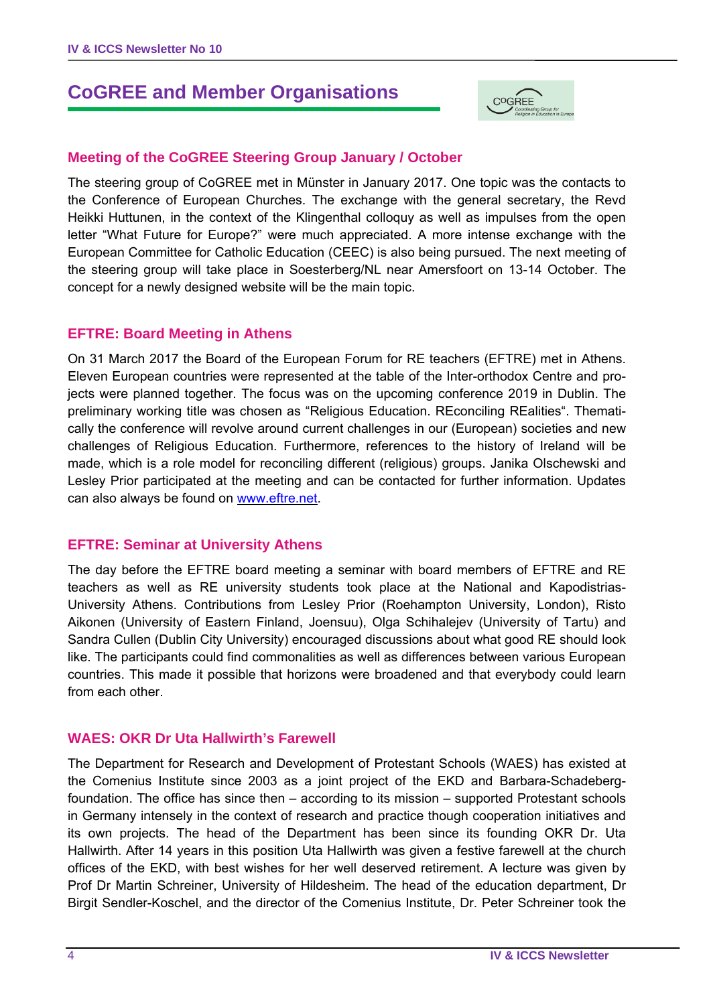# **CoGREE and Member Organisations**



## **Meeting of the CoGREE Steering Group January / October**

The steering group of CoGREE met in Münster in January 2017. One topic was the contacts to the Conference of European Churches. The exchange with the general secretary, the Revd Heikki Huttunen, in the context of the Klingenthal colloquy as well as impulses from the open letter "What Future for Europe?" were much appreciated. A more intense exchange with the European Committee for Catholic Education (CEEC) is also being pursued. The next meeting of the steering group will take place in Soesterberg/NL near Amersfoort on 13-14 October. The concept for a newly designed website will be the main topic.

#### **EFTRE: Board Meeting in Athens**

On 31 March 2017 the Board of the European Forum for RE teachers (EFTRE) met in Athens. Eleven European countries were represented at the table of the Inter-orthodox Centre and projects were planned together. The focus was on the upcoming conference 2019 in Dublin. The preliminary working title was chosen as "Religious Education. REconciling REalities". Thematically the conference will revolve around current challenges in our (European) societies and new challenges of Religious Education. Furthermore, references to the history of Ireland will be made, which is a role model for reconciling different (religious) groups. Janika Olschewski and Lesley Prior participated at the meeting and can be contacted for further information. Updates can also always be found on www.eftre.net.

#### **EFTRE: Seminar at University Athens**

The day before the EFTRE board meeting a seminar with board members of EFTRE and RE teachers as well as RE university students took place at the National and Kapodistrias-University Athens. Contributions from Lesley Prior (Roehampton University, London), Risto Aikonen (University of Eastern Finland, Joensuu), Olga Schihalejev (University of Tartu) and Sandra Cullen (Dublin City University) encouraged discussions about what good RE should look like. The participants could find commonalities as well as differences between various European countries. This made it possible that horizons were broadened and that everybody could learn from each other.

#### **WAES: OKR Dr Uta Hallwirth's Farewell**

The Department for Research and Development of Protestant Schools (WAES) has existed at the Comenius Institute since 2003 as a joint project of the EKD and Barbara-Schadebergfoundation. The office has since then – according to its mission – supported Protestant schools in Germany intensely in the context of research and practice though cooperation initiatives and its own projects. The head of the Department has been since its founding OKR Dr. Uta Hallwirth. After 14 years in this position Uta Hallwirth was given a festive farewell at the church offices of the EKD, with best wishes for her well deserved retirement. A lecture was given by Prof Dr Martin Schreiner, University of Hildesheim. The head of the education department, Dr Birgit Sendler-Koschel, and the director of the Comenius Institute, Dr. Peter Schreiner took the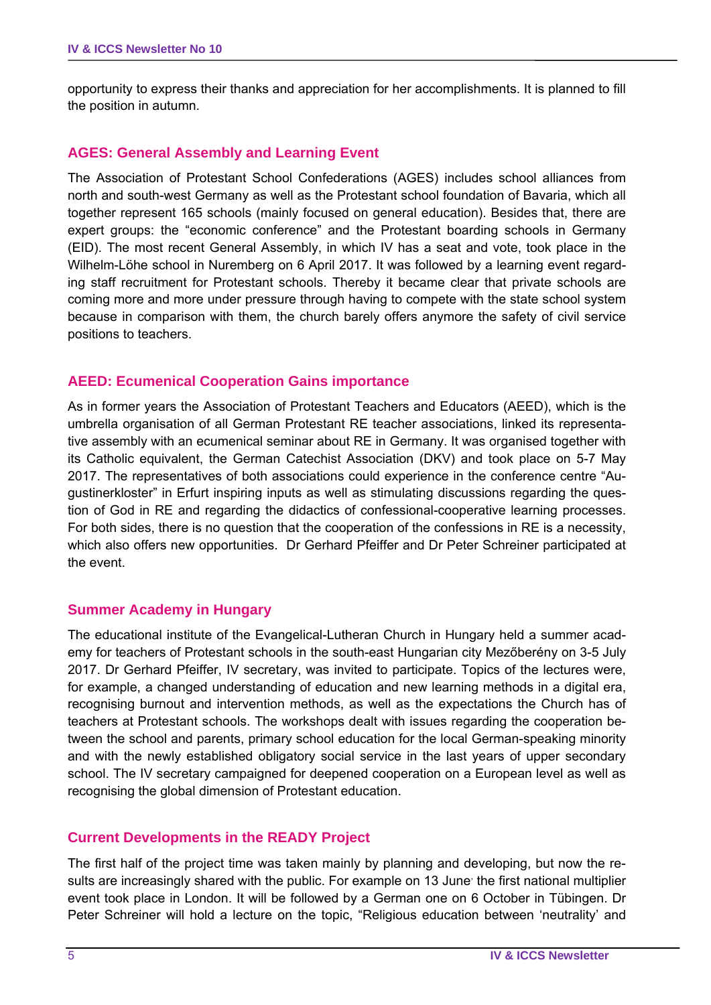opportunity to express their thanks and appreciation for her accomplishments. It is planned to fill the position in autumn.

## **AGES: General Assembly and Learning Event**

The Association of Protestant School Confederations (AGES) includes school alliances from north and south-west Germany as well as the Protestant school foundation of Bavaria, which all together represent 165 schools (mainly focused on general education). Besides that, there are expert groups: the "economic conference" and the Protestant boarding schools in Germany (EID). The most recent General Assembly, in which IV has a seat and vote, took place in the Wilhelm-Löhe school in Nuremberg on 6 April 2017. It was followed by a learning event regarding staff recruitment for Protestant schools. Thereby it became clear that private schools are coming more and more under pressure through having to compete with the state school system because in comparison with them, the church barely offers anymore the safety of civil service positions to teachers.

## **AEED: Ecumenical Cooperation Gains importance**

As in former years the Association of Protestant Teachers and Educators (AEED), which is the umbrella organisation of all German Protestant RE teacher associations, linked its representative assembly with an ecumenical seminar about RE in Germany. It was organised together with its Catholic equivalent, the German Catechist Association (DKV) and took place on 5-7 May 2017. The representatives of both associations could experience in the conference centre "Augustinerkloster" in Erfurt inspiring inputs as well as stimulating discussions regarding the question of God in RE and regarding the didactics of confessional-cooperative learning processes. For both sides, there is no question that the cooperation of the confessions in RE is a necessity, which also offers new opportunities. Dr Gerhard Pfeiffer and Dr Peter Schreiner participated at the event.

#### **Summer Academy in Hungary**

The educational institute of the Evangelical-Lutheran Church in Hungary held a summer academy for teachers of Protestant schools in the south-east Hungarian city Mezőberény on 3-5 July 2017. Dr Gerhard Pfeiffer, IV secretary, was invited to participate. Topics of the lectures were, for example, a changed understanding of education and new learning methods in a digital era, recognising burnout and intervention methods, as well as the expectations the Church has of teachers at Protestant schools. The workshops dealt with issues regarding the cooperation between the school and parents, primary school education for the local German-speaking minority and with the newly established obligatory social service in the last years of upper secondary school. The IV secretary campaigned for deepened cooperation on a European level as well as recognising the global dimension of Protestant education.

#### **Current Developments in the READY Project**

The first half of the project time was taken mainly by planning and developing, but now the results are increasingly shared with the public. For example on 13 June the first national multiplier event took place in London. It will be followed by a German one on 6 October in Tübingen. Dr Peter Schreiner will hold a lecture on the topic, "Religious education between 'neutrality' and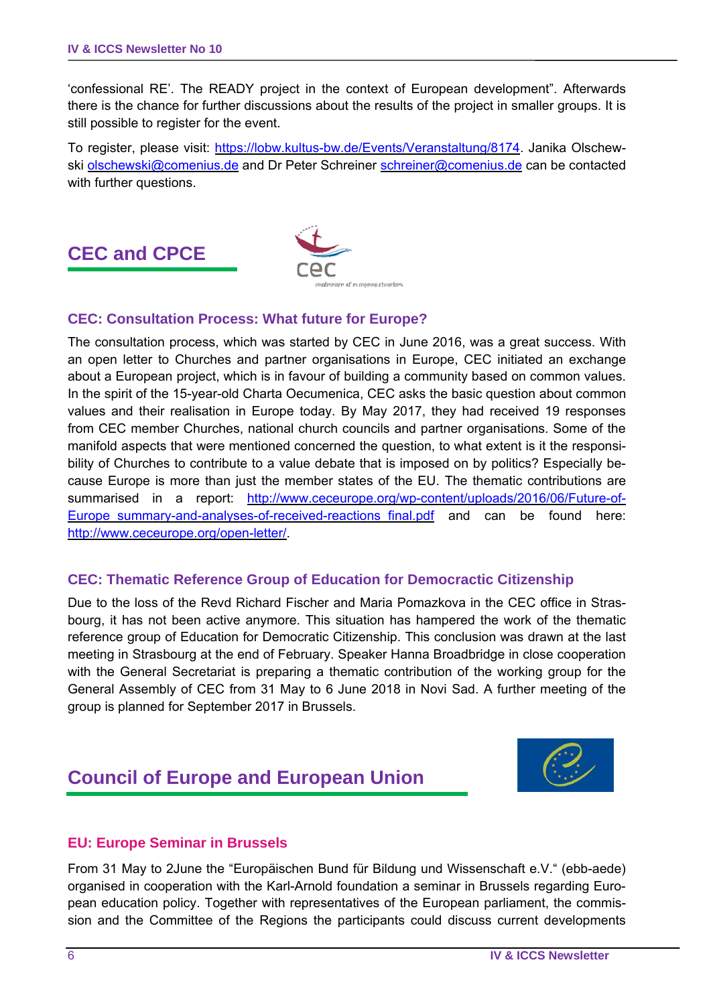'confessional RE'. The READY project in the context of European development". Afterwards there is the chance for further discussions about the results of the project in smaller groups. It is still possible to register for the event.

To register, please visit: https://lobw.kultus-bw.de/Events/Veranstaltung/8174. Janika Olschewski olschewski@comenius.de and Dr Peter Schreiner schreiner@comenius.de can be contacted with further questions.

# **CEC and CPCE**



## **CEC: Consultation Process: What future for Europe?**

The consultation process, which was started by CEC in June 2016, was a great success. With an open letter to Churches and partner organisations in Europe, CEC initiated an exchange about a European project, which is in favour of building a community based on common values. In the spirit of the 15-year-old Charta Oecumenica, CEC asks the basic question about common values and their realisation in Europe today. By May 2017, they had received 19 responses from CEC member Churches, national church councils and partner organisations. Some of the manifold aspects that were mentioned concerned the question, to what extent is it the responsibility of Churches to contribute to a value debate that is imposed on by politics? Especially because Europe is more than just the member states of the EU. The thematic contributions are summarised in a report: http://www.ceceurope.org/wp-content/uploads/2016/06/Future-of-Europe summary-and-analyses-of-received-reactions final.pdf and can be found here: http://www.ceceurope.org/open-letter/.

#### **CEC: Thematic Reference Group of Education for Democractic Citizenship**

Due to the loss of the Revd Richard Fischer and Maria Pomazkova in the CEC office in Strasbourg, it has not been active anymore. This situation has hampered the work of the thematic reference group of Education for Democratic Citizenship. This conclusion was drawn at the last meeting in Strasbourg at the end of February. Speaker Hanna Broadbridge in close cooperation with the General Secretariat is preparing a thematic contribution of the working group for the General Assembly of CEC from 31 May to 6 June 2018 in Novi Sad. A further meeting of the group is planned for September 2017 in Brussels.

# **Council of Europe and European Union**



#### **EU: Europe Seminar in Brussels**

From 31 May to 2June the "Europäischen Bund für Bildung und Wissenschaft e.V." (ebb-aede) organised in cooperation with the Karl-Arnold foundation a seminar in Brussels regarding European education policy. Together with representatives of the European parliament, the commission and the Committee of the Regions the participants could discuss current developments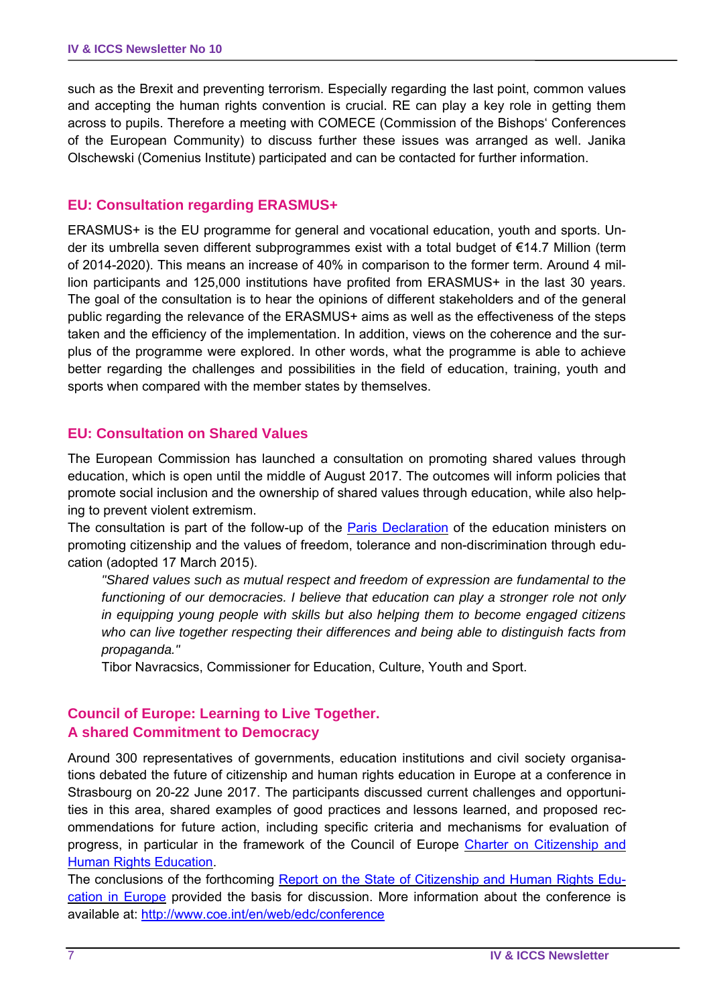such as the Brexit and preventing terrorism. Especially regarding the last point, common values and accepting the human rights convention is crucial. RE can play a key role in getting them across to pupils. Therefore a meeting with COMECE (Commission of the Bishops' Conferences of the European Community) to discuss further these issues was arranged as well. Janika Olschewski (Comenius Institute) participated and can be contacted for further information.

#### **EU: Consultation regarding ERASMUS+**

ERASMUS+ is the EU programme for general and vocational education, youth and sports. Under its umbrella seven different subprogrammes exist with a total budget of €14.7 Million (term of 2014-2020). This means an increase of 40% in comparison to the former term. Around 4 million participants and 125,000 institutions have profited from ERASMUS+ in the last 30 years. The goal of the consultation is to hear the opinions of different stakeholders and of the general public regarding the relevance of the ERASMUS+ aims as well as the effectiveness of the steps taken and the efficiency of the implementation. In addition, views on the coherence and the surplus of the programme were explored. In other words, what the programme is able to achieve better regarding the challenges and possibilities in the field of education, training, youth and sports when compared with the member states by themselves.

#### **EU: Consultation on Shared Values**

The European Commission has launched a consultation on promoting shared values through education, which is open until the middle of August 2017. The outcomes will inform policies that promote social inclusion and the ownership of shared values through education, while also helping to prevent violent extremism.

The consultation is part of the follow-up of the **Paris Declaration** of the education ministers on promoting citizenship and the values of freedom, tolerance and non-discrimination through education (adopted 17 March 2015).

*"Shared values such as mutual respect and freedom of expression are fundamental to the functioning of our democracies. I believe that education can play a stronger role not only in equipping young people with skills but also helping them to become engaged citizens who can live together respecting their differences and being able to distinguish facts from propaganda."* 

Tibor Navracsics, Commissioner for Education, Culture, Youth and Sport.

## **Council of Europe: Learning to Live Together. A shared Commitment to Democracy**

Around 300 representatives of governments, education institutions and civil society organisations debated the future of citizenship and human rights education in Europe at a conference in Strasbourg on 20-22 June 2017. The participants discussed current challenges and opportunities in this area, shared examples of good practices and lessons learned, and proposed recommendations for future action, including specific criteria and mechanisms for evaluation of progress, in particular in the framework of the Council of Europe Charter on Citizenship and **Human Rights Education.** 

The conclusions of the forthcoming [Report on the State of Citizenship and Human Rights Edu](http://www.coe.int/en/web/edc/report-on-the-state-of-citizenship-and-human-rights-in-europe)cation in Europe provided the basis for discussion. More information about the conference is available at:<http://www.coe.int/en/web/edc/conference>